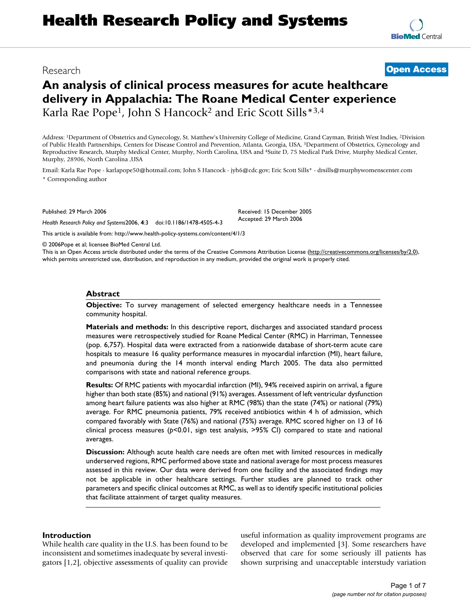# **Health Research Policy and Systems**

## **An analysis of clinical process measures for acute healthcare delivery in Appalachia: The Roane Medical Center experience** Karla Rae Pope<sup>1</sup>, John S Hancock<sup>2</sup> and Eric Scott Sills<sup>\*3,4</sup>

Address: 1Department of Obstetrics and Gynecology, St. Matthew's University College of Medicine, Grand Cayman, British West Indies, 2Division of Public Health Partnerships, Centers for Disease Control and Prevention, Atlanta, Georgia, USA, 3Department of Obstetrics, Gynecology and Reproductive Research, Murphy Medical Center, Murphy, North Carolina, USA and 4Suite D, 75 Medical Park Drive, Murphy Medical Center, Murphy, 28906, North Carolina ,USA

> Received: 15 December 2005 Accepted: 29 March 2006

Email: Karla Rae Pope - karlapope50@hotmail.com; John S Hancock - jyh6@cdc.gov; Eric Scott Sills\* - drsills@murphywomenscenter.com \* Corresponding author

Published: 29 March 2006

*Health Research Policy and Systems*2006, **4**:3 doi:10.1186/1478-4505-4-3

[This article is available from: http://www.health-policy-systems.com/content/4/1/3](http://www.health-policy-systems.com/content/4/1/3)

© 2006Pope et al; licensee BioMed Central Ltd.

This is an Open Access article distributed under the terms of the Creative Commons Attribution License [\(http://creativecommons.org/licenses/by/2.0\)](http://creativecommons.org/licenses/by/2.0), which permits unrestricted use, distribution, and reproduction in any medium, provided the original work is properly cited.

#### **Abstract**

**Objective:** To survey management of selected emergency healthcare needs in a Tennessee community hospital.

**Materials and methods:** In this descriptive report, discharges and associated standard process measures were retrospectively studied for Roane Medical Center (RMC) in Harriman, Tennessee (pop. 6,757). Hospital data were extracted from a nationwide database of short-term acute care hospitals to measure 16 quality performance measures in myocardial infarction (MI), heart failure, and pneumonia during the 14 month interval ending March 2005. The data also permitted comparisons with state and national reference groups.

**Results:** Of RMC patients with myocardial infarction (MI), 94% received aspirin on arrival, a figure higher than both state (85%) and national (91%) averages. Assessment of left ventricular dysfunction among heart failure patients was also higher at RMC (98%) than the state (74%) or national (79%) average. For RMC pneumonia patients, 79% received antibiotics within 4 h of admission, which compared favorably with State (76%) and national (75%) average. RMC scored higher on 13 of 16 clinical process measures (*p*<0.01, sign test analysis, >95% CI) compared to state and national averages.

**Discussion:** Although acute health care needs are often met with limited resources in medically underserved regions, RMC performed above state and national average for most process measures assessed in this review. Our data were derived from one facility and the associated findings may not be applicable in other healthcare settings. Further studies are planned to track other parameters and specific clinical outcomes at RMC, as well as to identify specific institutional policies that facilitate attainment of target quality measures.

#### **Introduction**

While health care quality in the U.S. has been found to be inconsistent and sometimes inadequate by several investigators [1,2], objective assessments of quality can provide useful information as quality improvement programs are developed and implemented [3]. Some researchers have observed that care for some seriously ill patients has shown surprising and unacceptable interstudy variation



Research **[Open Access](http://www.biomedcentral.com/info/about/charter/)**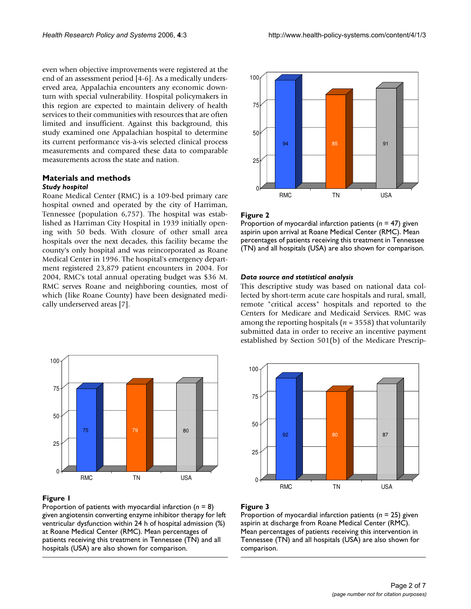even when objective improvements were registered at the end of an assessment period [4-6]. As a medically underserved area, Appalachia encounters any economic downturn with special vulnerability. Hospital policymakers in this region are expected to maintain delivery of health services to their communities with resources that are often limited and insufficient. Against this background, this study examined one Appalachian hospital to determine its current performance vis-à-vis selected clinical process measurements and compared these data to comparable measurements across the state and nation.

#### **Materials and methods** *Study hospital*

Roane Medical Center (RMC) is a 109-bed primary care hospital owned and operated by the city of Harriman, Tennessee (population 6,757). The hospital was established as Harriman City Hospital in 1939 initially opening with 50 beds. With closure of other small area hospitals over the next decades, this facility became the county's only hospital and was reincorporated as Roane Medical Center in 1996. The hospital's emergency department registered 23,879 patient encounters in 2004. For 2004, RMC's total annual operating budget was \$36 M. RMC serves Roane and neighboring counties, most of which (like Roane County) have been designated medically underserved areas [7].



#### Figure I

Proportion of patients with myocardial infarction (*n* = 8) given angiotensin converting enzyme inhibitor therapy for left ventricular dysfunction within 24 h of hospital admission (%) at Roane Medical Center (RMC). Mean percentages of patients receiving this treatment in Tennessee (TN) and all hospitals (USA) are also shown for comparison.



#### Figure 2

Proportion of myocardial infarction patients (*n* = 47) given aspirin upon arrival at Roane Medical Center (RMC). Mean percentages of patients receiving this treatment in Tennessee (TN) and all hospitals (USA) are also shown for comparison.

#### *Data source and statistical analysis*

This descriptive study was based on national data collected by short-term acute care hospitals and rural, small, remote "critical access" hospitals and reported to the Centers for Medicare and Medicaid Services. RMC was among the reporting hospitals (*n* = 3558) that voluntarily submitted data in order to receive an incentive payment established by Section 501(b) of the Medicare Prescrip-



#### Figure 3

Proportion of myocardial infarction patients (*n* = 25) given aspirin at discharge from Roane Medical Center (RMC). Mean percentages of patients receiving this intervention in Tennessee (TN) and all hospitals (USA) are also shown for comparison.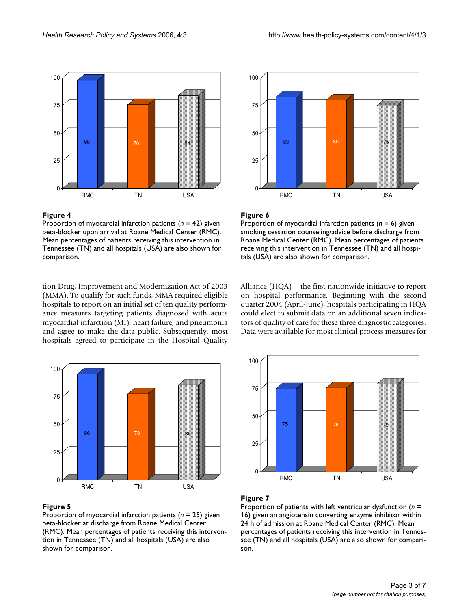

#### Figure 4

Proportion of myocardial infarction patients (*n* = 42) given beta-blocker upon arrival at Roane Medical Center (RMC). Mean percentages of patients receiving this intervention in Tennessee (TN) and all hospitals (USA) are also shown for comparison.

tion Drug, Improvement and Modernization Act of 2003 (MMA). To qualify for such funds, MMA required eligible hospitals to report on an initial set of ten quality performance measures targeting patients diagnosed with acute myocardial infarction (MI), heart failure, and pneumonia and agree to make the data public. Subsequently, most hospitals agreed to participate in the Hospital Quality



#### Figure 5

Proportion of myocardial infarction patients (*n* = 25) given beta-blocker at discharge from Roane Medical Center (RMC). Mean percentages of patients receiving this intervention in Tennessee (TN) and all hospitals (USA) are also shown for comparison.



#### Figure 6

Proportion of myocardial infarction patients (*n* = 6) given smoking cessation counseling/advice before discharge from Roane Medical Center (RMC). Mean percentages of patients receiving this intervention in Tennessee (TN) and all hospitals (USA) are also shown for comparison.

Alliance (HQA) – the first nationwide initiative to report on hospital performance. Beginning with the second quarter 2004 (April-June), hospitals participating in HQA could elect to submit data on an additional seven indicators of quality of care for these three diagnostic categories. Data were available for most clinical process measures for



### Figure 7

Proportion of patients with left ventricular dysfunction (*n* = 16) given an angiotensin converting enzyme inhibitor within 24 h of admission at Roane Medical Center (RMC). Mean percentages of patients receiving this intervention in Tennessee (TN) and all hospitals (USA) are also shown for comparison.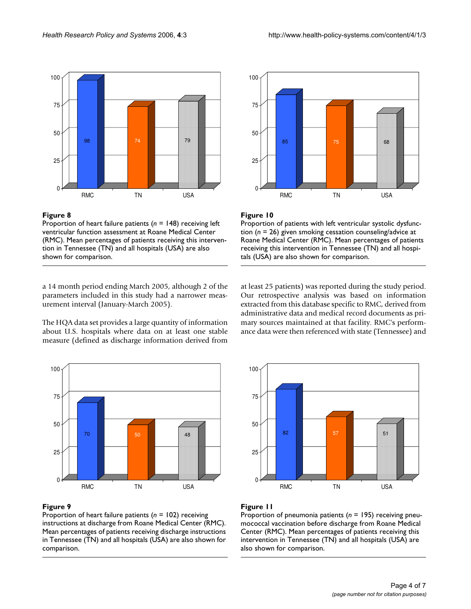

#### **Figure 8**

Proportion of heart failure patients (*n* = 148) receiving left ventricular function assessment at Roane Medical Center (RMC). Mean percentages of patients receiving this intervention in Tennessee (TN) and all hospitals (USA) are also shown for comparison.

a 14 month period ending March 2005, although 2 of the parameters included in this study had a narrower measurement interval (January-March 2005).

The HQA data set provides a large quantity of information about U.S. hospitals where data on at least one stable measure (defined as discharge information derived from



#### Figure 9

Proportion of heart failure patients (*n* = 102) receiving instructions at discharge from Roane Medical Center (RMC). Mean percentages of patients receiving discharge instructions in Tennessee (TN) and all hospitals (USA) are also shown for comparison.



#### Figure 10

Proportion of patients with left ventricular systolic dysfunction (*n* = 26) given smoking cessation counseling/advice at Roane Medical Center (RMC). Mean percentages of patients receiving this intervention in Tennessee (TN) and all hospitals (USA) are also shown for comparison.

at least 25 patients) was reported during the study period. Our retrospective analysis was based on information extracted from this database specific to RMC, derived from administrative data and medical record documents as primary sources maintained at that facility. RMC's performance data were then referenced with state (Tennessee) and



#### **Figure 11**

Proportion of pneumonia patients (*n* = 195) receiving pneumococcal vaccination before discharge from Roane Medical Center (RMC). Mean percentages of patients receiving this intervention in Tennessee (TN) and all hospitals (USA) are also shown for comparison.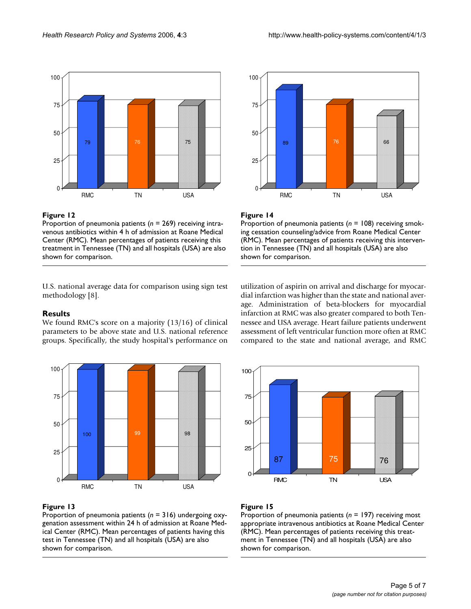



Proportion of pneumonia patients (*n* = 269) receiving intravenous antibiotics within 4 h of admission at Roane Medical Center (RMC). Mean percentages of patients receiving this treatment in Tennessee (TN) and all hospitals (USA) are also shown for comparison.



#### Figure 14

Proportion of pneumonia patients (*n* = 108) receiving smoking cessation counseling/advice from Roane Medical Center (RMC). Mean percentages of patients receiving this intervention in Tennessee (TN) and all hospitals (USA) are also shown for comparison.

U.S. national average data for comparison using sign test methodology [8].

#### **Results**

We found RMC's score on a majority (13/16) of clinical parameters to be above state and U.S. national reference groups. Specifically, the study hospital's performance on



#### Figure 13

Proportion of pneumonia patients (*n* = 316) undergoing oxygenation assessment within 24 h of admission at Roane Medical Center (RMC). Mean percentages of patients having this test in Tennessee (TN) and all hospitals (USA) are also shown for comparison.

utilization of aspirin on arrival and discharge for myocardial infarction was higher than the state and national average. Administration of beta-blockers for myocardial infarction at RMC was also greater compared to both Tennessee and USA average. Heart failure patients underwent assessment of left ventricular function more often at RMC compared to the state and national average, and RMC



#### Figure 15

Proportion of pneumonia patients (*n* = 197) receiving most appropriate intravenous antibiotics at Roane Medical Center (RMC). Mean percentages of patients receiving this treatment in Tennessee (TN) and all hospitals (USA) are also shown for comparison.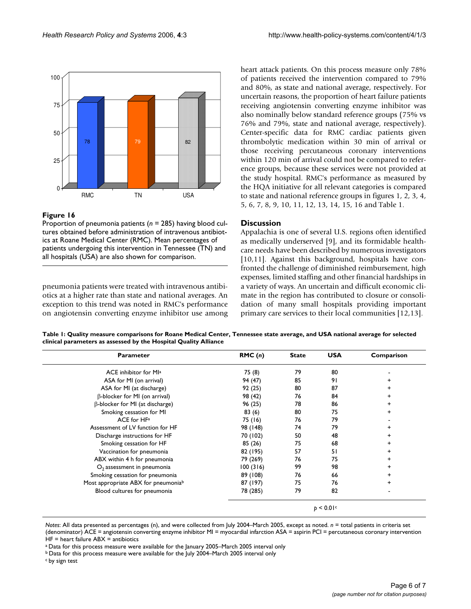

#### Figure 16

Proportion of pneumonia patients (*n* = 285) having blood cultures obtained before administration of intravenous antibiotics at Roane Medical Center (RMC). Mean percentages of patients undergoing this intervention in Tennessee (TN) and all hospitals (USA) are also shown for comparison.

pneumonia patients were treated with intravenous antibiotics at a higher rate than state and national averages. An exception to this trend was noted in RMC's performance on angiotensin converting enzyme inhibitor use among heart attack patients. On this process measure only 78% of patients received the intervention compared to 79% and 80%, as state and national average, respectively. For uncertain reasons, the proportion of heart failure patients receiving angiotensin converting enzyme inhibitor was also nominally below standard reference groups (75% vs 76% and 79%, state and national average, respectively). Center-specific data for RMC cardiac patients given thrombolytic medication within 30 min of arrival or those receiving percutaneous coronary interventions within 120 min of arrival could not be compared to reference groups, because these services were not provided at the study hospital. RMC's performance as measured by the HQA initiative for all relevant categories is compared to state and national reference groups in figures 1, 2, 3, 4, 5, 6, 7, 8, 9, 10, 11, 12, 13, 14, 15, 16 and Table 1.

#### **Discussion**

Appalachia is one of several U.S. regions often identified as medically underserved [9], and its formidable healthcare needs have been described by numerous investigators [10,11]. Against this background, hospitals have confronted the challenge of diminished reimbursement, high expenses, limited staffing and other financial hardships in a variety of ways. An uncertain and difficult economic climate in the region has contributed to closure or consolidation of many small hospitals providing important primary care services to their local communities [12,13].

**Table 1: Quality measure comparisons for Roane Medical Center, Tennessee state average, and USA national average for selected clinical parameters as assessed by the Hospital Quality Alliance**

| <b>Parameter</b>                     | RMC(n)   | <b>State</b> | <b>USA</b> | Comparison |
|--------------------------------------|----------|--------------|------------|------------|
| ACE inhibitor for MI <sup>a</sup>    | 75 (8)   | 79           | 80         |            |
| ASA for MI (on arrival)              | 94 (47)  | 85           | 91         |            |
| ASA for MI (at discharge)            | 92(25)   | 80           | 87         |            |
| $\beta$ -blocker for MI (on arrival) | 98 (42)  | 76           | 84         | ÷          |
| β-blocker for MI (at discharge)      | 96 (25)  | 78           | 86         | ÷          |
| Smoking cessation for MI             | 83(6)    | 80           | 75         |            |
| ACE for HF <sup>a</sup>              | 75 (16)  | 76           | 79         |            |
| Assessment of LV function for HF     | 98 (148) | 74           | 79         | +          |
| Discharge instructions for HF        | 70 (102) | 50           | 48         | ÷          |
| Smoking cessation for HF             | 85 (26)  | 75           | 68         | +          |
| Vaccination for pneumonia            | 82 (195) | 57           | 51         |            |
| ABX within 4 h for pneumonia         | 79 (269) | 76           | 75         | +          |
| $O2$ assessment in pneumonia         | 100(316) | 99           | 98         | $\ddot{}$  |
| Smoking cessation for pneumonia      | 89 (108) | 76           | 66         | ÷          |
| Most appropriate ABX for pneumoniab  | 87 (197) | 75           | 76         | $\ddot{}$  |
| Blood cultures for pneumonia         | 78 (285) | 79           | 82         |            |

*Notes*: All data presented as percentages (n), and were collected from July 2004–March 2005, except as noted. *n* = total patients in criteria set (denominator) ACE = angiotensin converting enzyme inhibitor MI = myocardial infarction ASA = aspirin PCI = percutaneous coronary intervention HF = heart failure ABX = antibiotics

a Data for this process measure were available for the January 2005–March 2005 interval only

b Data for this process measure were available for the July 2004–March 2005 interval only

c by sign test